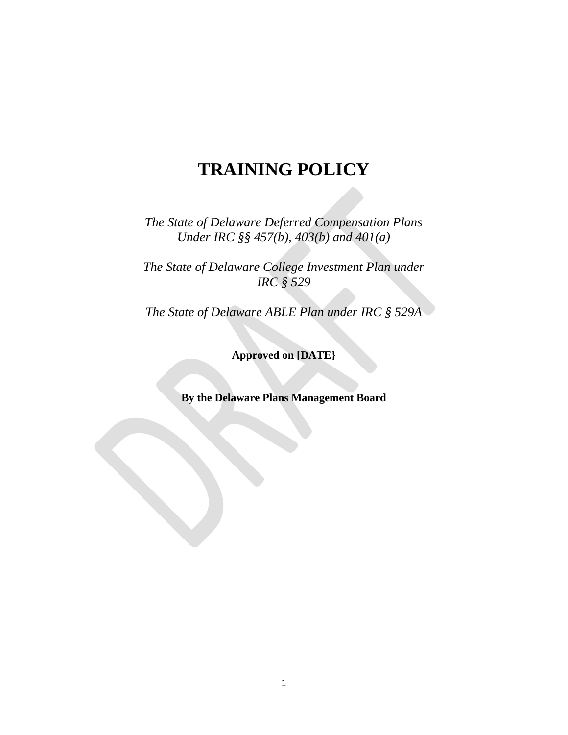# **TRAINING POLICY**

*The State of Delaware Deferred Compensation Plans Under IRC §§ 457(b), 403(b) and 401(a)*

*The State of Delaware College Investment Plan under IRC § 529*

*The State of Delaware ABLE Plan under IRC § 529A*

**Approved on [DATE}**

**By the Delaware Plans Management Board**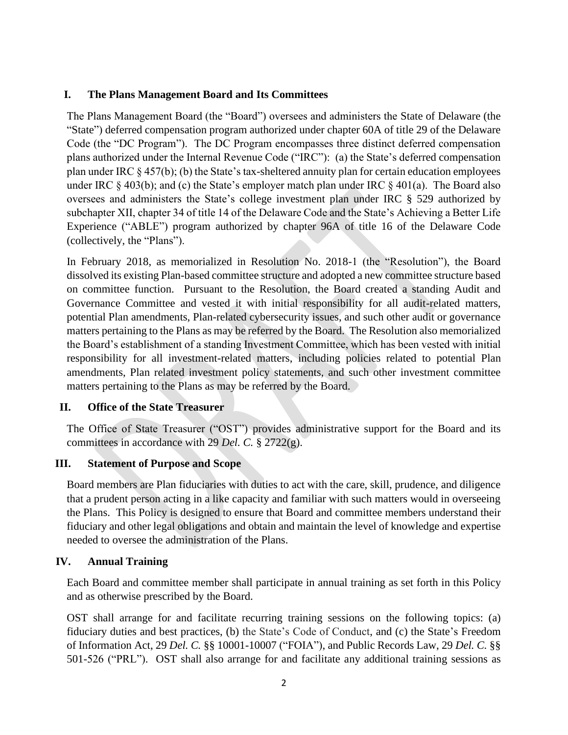#### **I. The Plans Management Board and Its Committees**

The Plans Management Board (the "Board") oversees and administers the State of Delaware (the "State") deferred compensation program authorized under chapter 60A of title 29 of the Delaware Code (the "DC Program"). The DC Program encompasses three distinct deferred compensation plans authorized under the Internal Revenue Code ("IRC"): (a) the State's deferred compensation plan under IRC § 457(b); (b) the State's tax-sheltered annuity plan for certain education employees under IRC § 403(b); and (c) the State's employer match plan under IRC § 401(a). The Board also oversees and administers the State's college investment plan under IRC § 529 authorized by subchapter XII, chapter 34 of title 14 of the Delaware Code and the State's Achieving a Better Life Experience ("ABLE") program authorized by chapter 96A of title 16 of the Delaware Code (collectively, the "Plans").

In February 2018, as memorialized in Resolution No. 2018-1 (the "Resolution"), the Board dissolved its existing Plan-based committee structure and adopted a new committee structure based on committee function. Pursuant to the Resolution, the Board created a standing Audit and Governance Committee and vested it with initial responsibility for all audit-related matters, potential Plan amendments, Plan-related cybersecurity issues, and such other audit or governance matters pertaining to the Plans as may be referred by the Board. The Resolution also memorialized the Board's establishment of a standing Investment Committee, which has been vested with initial responsibility for all investment-related matters, including policies related to potential Plan amendments, Plan related investment policy statements, and such other investment committee matters pertaining to the Plans as may be referred by the Board.

### **II. Office of the State Treasurer**

The Office of State Treasurer ("OST") provides administrative support for the Board and its committees in accordance with 29 *Del. C.* § 2722(g).

### **III. Statement of Purpose and Scope**

Board members are Plan fiduciaries with duties to act with the care, skill, prudence, and diligence that a prudent person acting in a like capacity and familiar with such matters would in overseeing the Plans. This Policy is designed to ensure that Board and committee members understand their fiduciary and other legal obligations and obtain and maintain the level of knowledge and expertise needed to oversee the administration of the Plans.

### **IV. Annual Training**

Each Board and committee member shall participate in annual training as set forth in this Policy and as otherwise prescribed by the Board.

OST shall arrange for and facilitate recurring training sessions on the following topics: (a) fiduciary duties and best practices, (b) the State's Code of Conduct, and (c) the State's Freedom of Information Act, 29 *Del. C.* §§ 10001-10007 ("FOIA"), and Public Records Law, 29 *Del. C.* §§ 501-526 ("PRL"). OST shall also arrange for and facilitate any additional training sessions as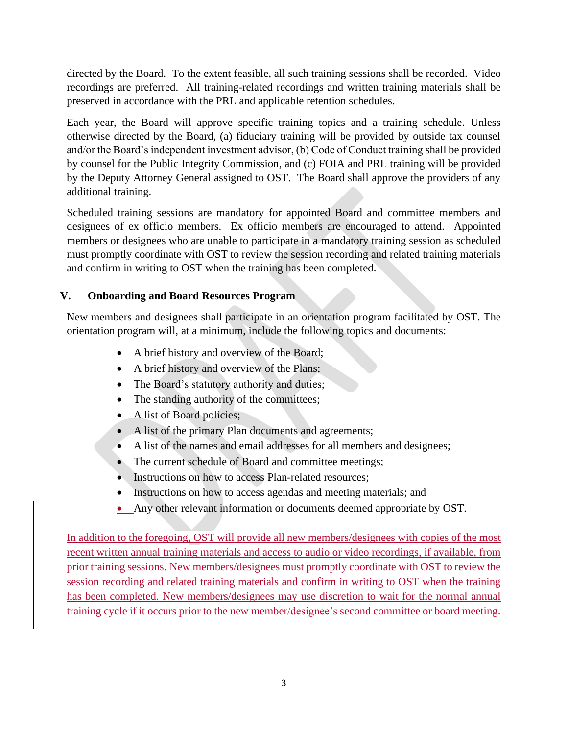directed by the Board. To the extent feasible, all such training sessions shall be recorded. Video recordings are preferred. All training-related recordings and written training materials shall be preserved in accordance with the PRL and applicable retention schedules.

Each year, the Board will approve specific training topics and a training schedule. Unless otherwise directed by the Board, (a) fiduciary training will be provided by outside tax counsel and/or the Board's independent investment advisor, (b) Code of Conduct training shall be provided by counsel for the Public Integrity Commission, and (c) FOIA and PRL training will be provided by the Deputy Attorney General assigned to OST. The Board shall approve the providers of any additional training.

Scheduled training sessions are mandatory for appointed Board and committee members and designees of ex officio members. Ex officio members are encouraged to attend. Appointed members or designees who are unable to participate in a mandatory training session as scheduled must promptly coordinate with OST to review the session recording and related training materials and confirm in writing to OST when the training has been completed.

## **V. Onboarding and Board Resources Program**

New members and designees shall participate in an orientation program facilitated by OST. The orientation program will, at a minimum, include the following topics and documents:

- A brief history and overview of the Board;
- A brief history and overview of the Plans;
- The Board's statutory authority and duties;
- The standing authority of the committees;
- A list of Board policies;
- A list of the primary Plan documents and agreements;
- A list of the names and email addresses for all members and designees;
- The current schedule of Board and committee meetings;
- Instructions on how to access Plan-related resources:
- Instructions on how to access agendas and meeting materials; and
- Any other relevant information or documents deemed appropriate by OST.

In addition to the foregoing, OST will provide all new members/designees with copies of the most recent written annual training materials and access to audio or video recordings, if available, from prior training sessions. New members/designees must promptly coordinate with OST to review the session recording and related training materials and confirm in writing to OST when the training has been completed. New members/designees may use discretion to wait for the normal annual training cycle if it occurs prior to the new member/designee's second committee or board meeting.